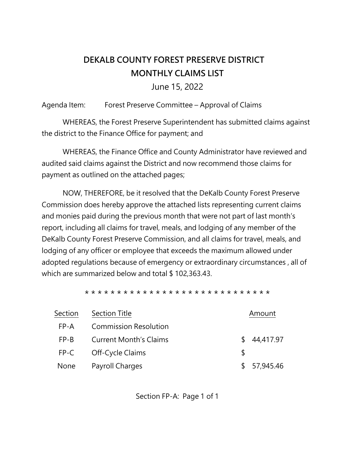## **DEKALB COUNTY FOREST PRESERVE DISTRICT MONTHLY CLAIMS LIST**

June 15, 2022

Agenda Item: Forest Preserve Committee – Approval of Claims

WHEREAS, the Forest Preserve Superintendent has submitted claims against the district to the Finance Office for payment; and

WHEREAS, the Finance Office and County Administrator have reviewed and audited said claims against the District and now recommend those claims for payment as outlined on the attached pages;

NOW, THEREFORE, be it resolved that the DeKalb County Forest Preserve Commission does hereby approve the attached lists representing current claims and monies paid during the previous month that were not part of last month's report, including all claims for travel, meals, and lodging of any member of the DeKalb County Forest Preserve Commission, and all claims for travel, meals, and lodging of any officer or employee that exceeds the maximum allowed under adopted regulations because of emergency or extraordinary circumstances , all of which are summarized below and total \$102,363.43.

\* \* \* \* \* \* \* \* \* \* \* \* \* \* \* \* \* \* \* \* \* \* \* \* \* \* \* \* \*

| Section | Section Title                 | Amount          |
|---------|-------------------------------|-----------------|
| FP-A    | <b>Commission Resolution</b>  |                 |
| $FP-B$  | <b>Current Month's Claims</b> | 44,417.97<br>S. |
| FP-C    | Off-Cycle Claims              | S               |
| None    | Payroll Charges               | \$57,945.46     |

Section FP-A: Page 1 of 1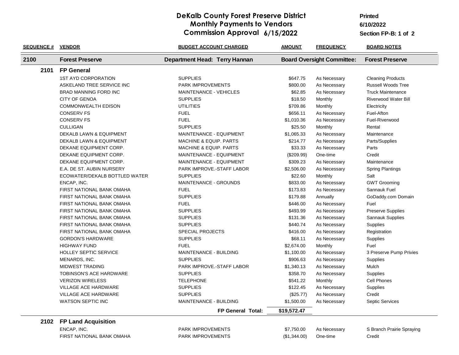## **DeKalb County Forest Preserve District Monthly Payments to Vendors Commission Approval 6/15/2022**

**6/10/2022 Printed**

**Section FP-B:**

| <b>SEQUENCE #</b> | <b>VENDOR</b>                    | <b>BUDGET ACCOUNT CHARGED</b>     | <b>AMOUNT</b> | <b>FREQUENCY</b>                  | <b>BOARD NOTES</b>          |
|-------------------|----------------------------------|-----------------------------------|---------------|-----------------------------------|-----------------------------|
| 2100              | <b>Forest Preserve</b>           | Department Head: Terry Hannan     |               | <b>Board Oversight Committee:</b> | <b>Forest Preserve</b>      |
| 2101              | <b>FP General</b>                |                                   |               |                                   |                             |
|                   | <b>1ST AYD CORPORATION</b>       | <b>SUPPLIES</b>                   | \$647.75      | As Necessary                      | <b>Cleaning Products</b>    |
|                   | ASKELAND TREE SERVICE INC        | PARK IMPROVEMENTS                 | \$800.00      | As Necessary                      | <b>Russell Woods Tree</b>   |
|                   | BRAD MANNING FORD INC            | MAINTENANCE - VEHICLES            | \$62.85       | As Necessary                      | <b>Truck Maintenance</b>    |
|                   | <b>CITY OF GENOA</b>             | <b>SUPPLIES</b>                   | \$18.50       | Monthly                           | <b>Riverwood Water Bill</b> |
|                   | <b>COMMONWEALTH EDISON</b>       | <b>UTILITIES</b>                  | \$709.86      | Monthly                           | Electricity                 |
|                   | <b>CONSERV FS</b>                | <b>FUEL</b>                       | \$656.11      | As Necessary                      | Fuel-Afton                  |
|                   | <b>CONSERV FS</b>                | <b>FUEL</b>                       | \$1,010.36    | As Necessary                      | Fuel-Riverwood              |
|                   | <b>CULLIGAN</b>                  | <b>SUPPLIES</b>                   | \$25.50       | Monthly                           | Rental                      |
|                   | DEKALB LAWN & EQUIPMENT          | MAINTENANCE - EQUIPMENT           | \$1,065.33    | As Necessary                      | Maintenance                 |
|                   | DEKALB LAWN & EQUIPMENT          | <b>MACHINE &amp; EQUIP. PARTS</b> | \$214.77      | As Necessary                      | Parts/Supplies              |
|                   | DEKANE EQUIPMENT CORP.           | <b>MACHINE &amp; EQUIP. PARTS</b> | \$33.33       | As Necessary                      | Parts                       |
|                   | DEKANE EQUIPMENT CORP.           | MAINTENANCE - EQUIPMENT           | (\$209.99)    | One-time                          | Credit                      |
|                   | DEKANE EQUIPMENT CORP.           | MAINTENANCE - EQUIPMENT           | \$309.23      | As Necessary                      | Maintenance                 |
|                   | E.A. DE ST. AUBIN NURSERY        | PARK IMPROVE.-STAFF LABOR         | \$2,506.00    | As Necessary                      | <b>Spring Plantings</b>     |
|                   | ECOWATER/DEKALB BOTTLED WATER    | <b>SUPPLIES</b>                   | \$22.60       | Monthly                           | Salt                        |
|                   | ENCAP, INC.                      | MAINTENANCE - GROUNDS             | \$833.00      | As Necessary                      | <b>GWT Grooming</b>         |
|                   | FIRST NATIONAL BANK OMAHA        | <b>FUEL</b>                       | \$173.83      | As Necessary                      | Sannauk Fuel                |
|                   | FIRST NATIONAL BANK OMAHA        | <b>SUPPLIES</b>                   | \$179.88      | Annually                          | GoDaddy.com Domain          |
|                   | FIRST NATIONAL BANK OMAHA        | <b>FUEL</b>                       | \$446.00      | As Necessary                      | Fuel                        |
|                   | FIRST NATIONAL BANK OMAHA        | <b>SUPPLIES</b>                   | \$493.99      | As Necessary                      | Preserve Supplies           |
|                   | FIRST NATIONAL BANK OMAHA        | <b>SUPPLIES</b>                   | \$131.36      | As Necessary                      | Sannauk Supplies            |
|                   | FIRST NATIONAL BANK OMAHA        | <b>SUPPLIES</b>                   | \$440.74      | As Necessary                      | Supplies                    |
|                   | FIRST NATIONAL BANK OMAHA        | <b>SPECIAL PROJECTS</b>           | \$416.00      | As Necessary                      | Registration                |
|                   | <b>GORDON'S HARDWARE</b>         | <b>SUPPLIES</b>                   | \$68.11       | As Necessary                      | Supplies                    |
|                   | <b>HIGHWAY FUND</b>              | <b>FUEL</b>                       | \$2,674.00    | Monthly                           | Fuel                        |
|                   | <b>HOLLEY SEPTIC SERVICE</b>     | <b>MAINTENANCE - BUILDING</b>     | \$1,100.00    | As Necessary                      | 3 Preserve Pump Privies     |
|                   | MENARDS, INC.                    | <b>SUPPLIES</b>                   | \$906.63      | As Necessary                      | Supplies                    |
|                   | MIDWEST TRADING                  | PARK IMPROVE.-STAFF LABOR         | \$1,340.13    | As Necessary                      | Mulch                       |
|                   | TOBINSON'S ACE HARDWARE          | <b>SUPPLIES</b>                   | \$358.70      | As Necessary                      | Supplies                    |
|                   | <b>VERIZON WIRELESS</b>          | <b>TELEPHONE</b>                  | \$541.22      | Monthly                           | Cell Phones                 |
|                   | <b>VILLAGE ACE HARDWARE</b>      | <b>SUPPLIES</b>                   | \$122.45      | As Necessary                      | Supplies                    |
|                   | <b>VILLAGE ACE HARDWARE</b>      | <b>SUPPLIES</b>                   | (\$25.77)     | As Necessary                      | Credit                      |
|                   | <b>WATSON SEPTIC INC</b>         | <b>MAINTENANCE - BUILDING</b>     | \$1,500.00    | As Necessary                      | <b>Septic Services</b>      |
|                   |                                  | <b>FP General Total:</b>          | \$19,572.47   |                                   |                             |
|                   | 2102 FP Land Acquisition         |                                   |               |                                   |                             |
|                   | ENCAP, INC.                      | <b>PARK IMPROVEMENTS</b>          | \$7,750.00    | As Necessary                      | S Branch Prairie Spraying   |
|                   | <b>FIRST NATIONAL BANK OMAHA</b> | <b>PARK IMPROVEMENTS</b>          | (\$1,344.00)  | One-time                          | Credit                      |